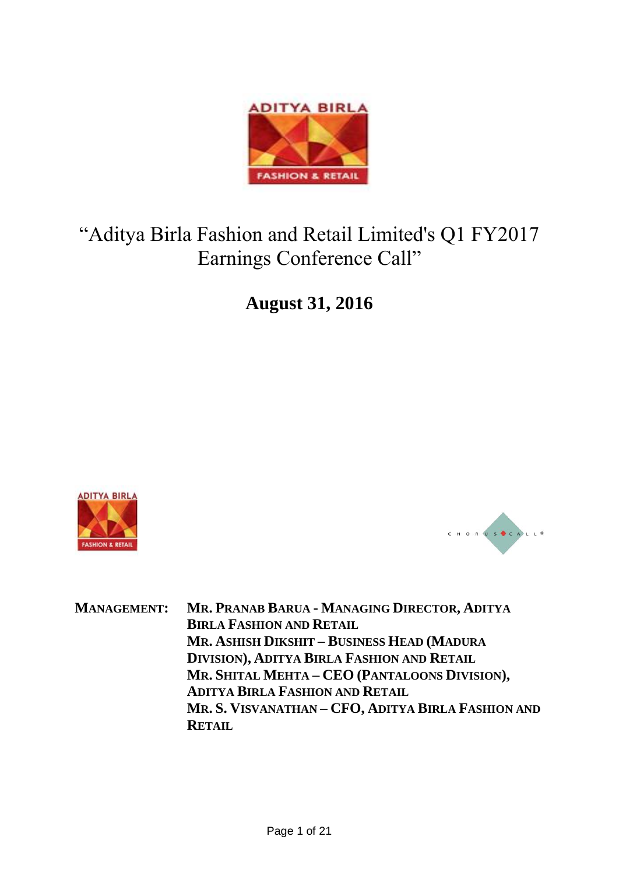

# "Aditya Birla Fashion and Retail Limited's Q1 FY2017 Earnings Conference Call"

**August 31, 2016**





**MANAGEMENT: MR. PRANAB BARUA - MANAGING DIRECTOR, ADITYA BIRLA FASHION AND RETAIL MR. ASHISH DIKSHIT – BUSINESS HEAD (MADURA DIVISION), ADITYA BIRLA FASHION AND RETAIL MR. SHITAL MEHTA – CEO (PANTALOONS DIVISION), ADITYA BIRLA FASHION AND RETAIL MR. S. VISVANATHAN – CFO, ADITYA BIRLA FASHION AND RETAIL**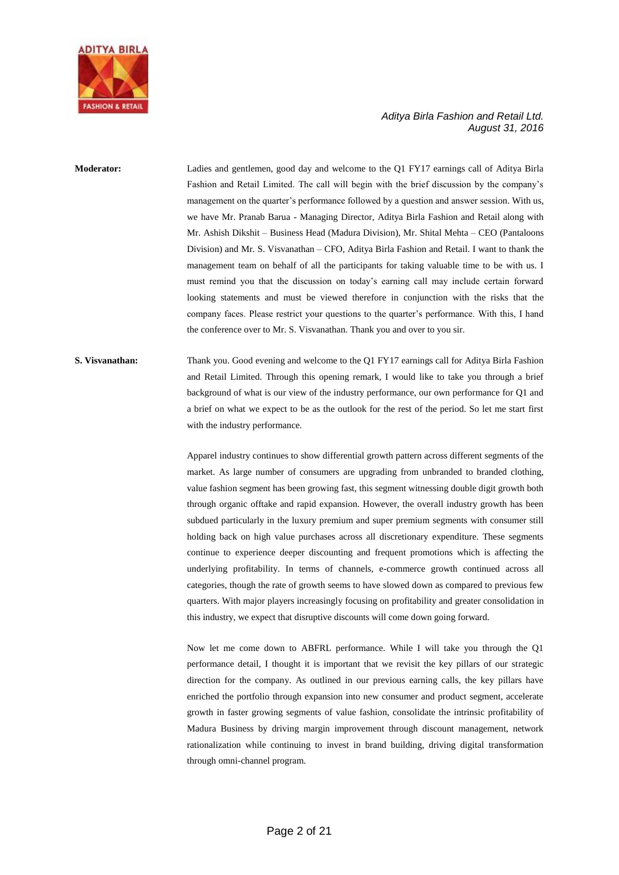

**Moderator:** Ladies and gentlemen, good day and welcome to the Q1 FY17 earnings call of Aditya Birla Fashion and Retail Limited. The call will begin with the brief discussion by the company's management on the quarter's performance followed by a question and answer session. With us, we have Mr. Pranab Barua - Managing Director, Aditya Birla Fashion and Retail along with Mr. Ashish Dikshit – Business Head (Madura Division), Mr. Shital Mehta – CEO (Pantaloons Division) and Mr. S. Visvanathan – CFO, Aditya Birla Fashion and Retail. I want to thank the management team on behalf of all the participants for taking valuable time to be with us. I must remind you that the discussion on today's earning call may include certain forward looking statements and must be viewed therefore in conjunction with the risks that the company faces. Please restrict your questions to the quarter's performance. With this, I hand the conference over to Mr. S. Visvanathan. Thank you and over to you sir.

### **S. Visvanathan:** Thank you. Good evening and welcome to the Q1 FY17 earnings call for Aditya Birla Fashion and Retail Limited. Through this opening remark, I would like to take you through a brief background of what is our view of the industry performance, our own performance for Q1 and a brief on what we expect to be as the outlook for the rest of the period. So let me start first with the industry performance.

Apparel industry continues to show differential growth pattern across different segments of the market. As large number of consumers are upgrading from unbranded to branded clothing, value fashion segment has been growing fast, this segment witnessing double digit growth both through organic offtake and rapid expansion. However, the overall industry growth has been subdued particularly in the luxury premium and super premium segments with consumer still holding back on high value purchases across all discretionary expenditure. These segments continue to experience deeper discounting and frequent promotions which is affecting the underlying profitability. In terms of channels, e-commerce growth continued across all categories, though the rate of growth seems to have slowed down as compared to previous few quarters. With major players increasingly focusing on profitability and greater consolidation in this industry, we expect that disruptive discounts will come down going forward.

Now let me come down to ABFRL performance. While I will take you through the Q1 performance detail, I thought it is important that we revisit the key pillars of our strategic direction for the company. As outlined in our previous earning calls, the key pillars have enriched the portfolio through expansion into new consumer and product segment, accelerate growth in faster growing segments of value fashion, consolidate the intrinsic profitability of Madura Business by driving margin improvement through discount management, network rationalization while continuing to invest in brand building, driving digital transformation through omni-channel program.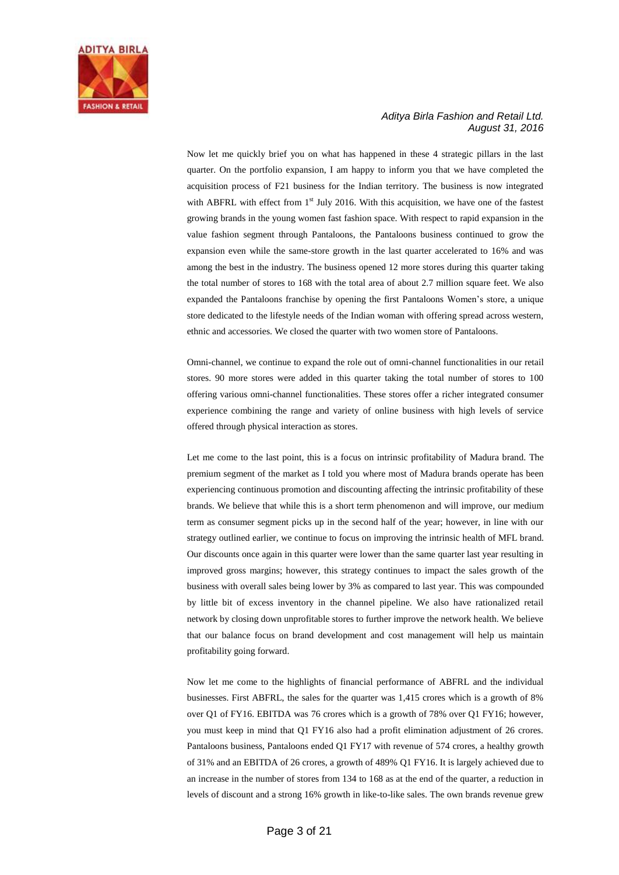

Now let me quickly brief you on what has happened in these 4 strategic pillars in the last quarter. On the portfolio expansion, I am happy to inform you that we have completed the acquisition process of F21 business for the Indian territory. The business is now integrated with ABFRL with effect from  $1<sup>st</sup>$  July 2016. With this acquisition, we have one of the fastest growing brands in the young women fast fashion space. With respect to rapid expansion in the value fashion segment through Pantaloons, the Pantaloons business continued to grow the expansion even while the same-store growth in the last quarter accelerated to 16% and was among the best in the industry. The business opened 12 more stores during this quarter taking the total number of stores to 168 with the total area of about 2.7 million square feet. We also expanded the Pantaloons franchise by opening the first Pantaloons Women's store, a unique store dedicated to the lifestyle needs of the Indian woman with offering spread across western, ethnic and accessories. We closed the quarter with two women store of Pantaloons.

Omni-channel, we continue to expand the role out of omni-channel functionalities in our retail stores. 90 more stores were added in this quarter taking the total number of stores to 100 offering various omni-channel functionalities. These stores offer a richer integrated consumer experience combining the range and variety of online business with high levels of service offered through physical interaction as stores.

Let me come to the last point, this is a focus on intrinsic profitability of Madura brand. The premium segment of the market as I told you where most of Madura brands operate has been experiencing continuous promotion and discounting affecting the intrinsic profitability of these brands. We believe that while this is a short term phenomenon and will improve, our medium term as consumer segment picks up in the second half of the year; however, in line with our strategy outlined earlier, we continue to focus on improving the intrinsic health of MFL brand. Our discounts once again in this quarter were lower than the same quarter last year resulting in improved gross margins; however, this strategy continues to impact the sales growth of the business with overall sales being lower by 3% as compared to last year. This was compounded by little bit of excess inventory in the channel pipeline. We also have rationalized retail network by closing down unprofitable stores to further improve the network health. We believe that our balance focus on brand development and cost management will help us maintain profitability going forward.

Now let me come to the highlights of financial performance of ABFRL and the individual businesses. First ABFRL, the sales for the quarter was 1,415 crores which is a growth of 8% over Q1 of FY16. EBITDA was 76 crores which is a growth of 78% over Q1 FY16; however, you must keep in mind that Q1 FY16 also had a profit elimination adjustment of 26 crores. Pantaloons business, Pantaloons ended Q1 FY17 with revenue of 574 crores, a healthy growth of 31% and an EBITDA of 26 crores, a growth of 489% Q1 FY16. It is largely achieved due to an increase in the number of stores from 134 to 168 as at the end of the quarter, a reduction in levels of discount and a strong 16% growth in like-to-like sales. The own brands revenue grew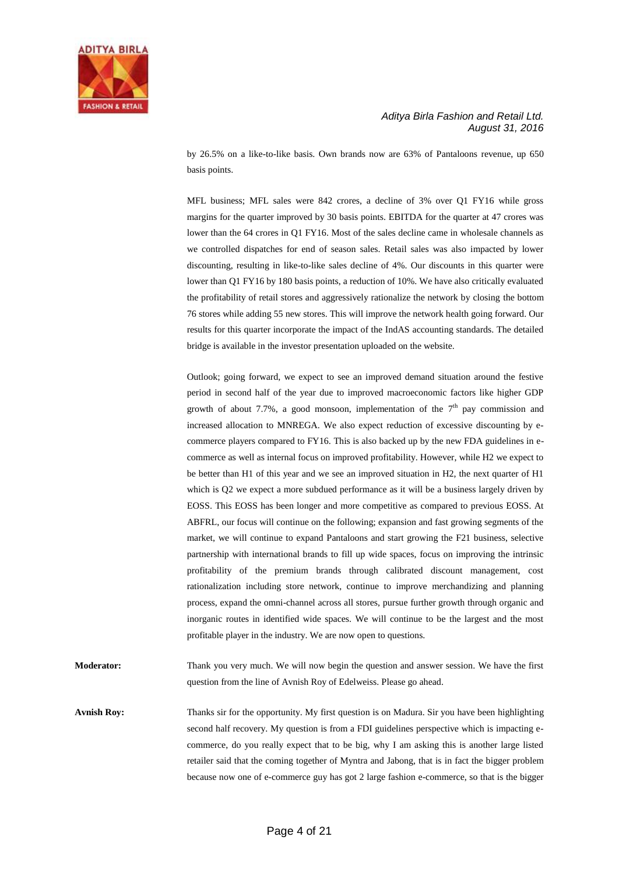

by 26.5% on a like-to-like basis. Own brands now are 63% of Pantaloons revenue, up 650 basis points.

MFL business; MFL sales were 842 crores, a decline of 3% over Q1 FY16 while gross margins for the quarter improved by 30 basis points. EBITDA for the quarter at 47 crores was lower than the 64 crores in Q1 FY16. Most of the sales decline came in wholesale channels as we controlled dispatches for end of season sales. Retail sales was also impacted by lower discounting, resulting in like-to-like sales decline of 4%. Our discounts in this quarter were lower than Q1 FY16 by 180 basis points, a reduction of 10%. We have also critically evaluated the profitability of retail stores and aggressively rationalize the network by closing the bottom 76 stores while adding 55 new stores. This will improve the network health going forward. Our results for this quarter incorporate the impact of the IndAS accounting standards. The detailed bridge is available in the investor presentation uploaded on the website.

Outlook; going forward, we expect to see an improved demand situation around the festive period in second half of the year due to improved macroeconomic factors like higher GDP growth of about 7.7%, a good monsoon, implementation of the  $7<sup>th</sup>$  pay commission and increased allocation to MNREGA. We also expect reduction of excessive discounting by ecommerce players compared to FY16. This is also backed up by the new FDA guidelines in ecommerce as well as internal focus on improved profitability. However, while H2 we expect to be better than H1 of this year and we see an improved situation in H2, the next quarter of H1 which is Q2 we expect a more subdued performance as it will be a business largely driven by EOSS. This EOSS has been longer and more competitive as compared to previous EOSS. At ABFRL, our focus will continue on the following; expansion and fast growing segments of the market, we will continue to expand Pantaloons and start growing the F21 business, selective partnership with international brands to fill up wide spaces, focus on improving the intrinsic profitability of the premium brands through calibrated discount management, cost rationalization including store network, continue to improve merchandizing and planning process, expand the omni-channel across all stores, pursue further growth through organic and inorganic routes in identified wide spaces. We will continue to be the largest and the most profitable player in the industry. We are now open to questions.

**Moderator:** Thank you very much. We will now begin the question and answer session. We have the first question from the line of Avnish Roy of Edelweiss. Please go ahead.

**Avnish Roy:** Thanks sir for the opportunity. My first question is on Madura. Sir you have been highlighting second half recovery. My question is from a FDI guidelines perspective which is impacting ecommerce, do you really expect that to be big, why I am asking this is another large listed retailer said that the coming together of Myntra and Jabong, that is in fact the bigger problem because now one of e-commerce guy has got 2 large fashion e-commerce, so that is the bigger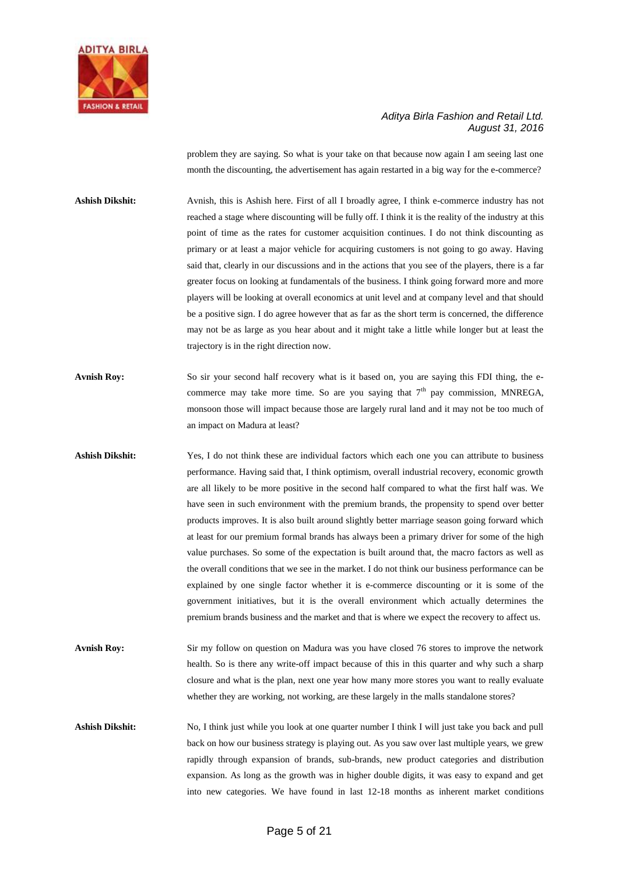

problem they are saying. So what is your take on that because now again I am seeing last one month the discounting, the advertisement has again restarted in a big way for the e-commerce?

**Ashish Dikshit:** Avnish, this is Ashish here. First of all I broadly agree, I think e-commerce industry has not reached a stage where discounting will be fully off. I think it is the reality of the industry at this point of time as the rates for customer acquisition continues. I do not think discounting as primary or at least a major vehicle for acquiring customers is not going to go away. Having said that, clearly in our discussions and in the actions that you see of the players, there is a far greater focus on looking at fundamentals of the business. I think going forward more and more players will be looking at overall economics at unit level and at company level and that should be a positive sign. I do agree however that as far as the short term is concerned, the difference may not be as large as you hear about and it might take a little while longer but at least the trajectory is in the right direction now.

- **Avnish Roy:** So sir your second half recovery what is it based on, you are saying this FDI thing, the ecommerce may take more time. So are you saying that  $7<sup>th</sup>$  pay commission, MNREGA, monsoon those will impact because those are largely rural land and it may not be too much of an impact on Madura at least?
- **Ashish Dikshit:** Yes, I do not think these are individual factors which each one you can attribute to business performance. Having said that, I think optimism, overall industrial recovery, economic growth are all likely to be more positive in the second half compared to what the first half was. We have seen in such environment with the premium brands, the propensity to spend over better products improves. It is also built around slightly better marriage season going forward which at least for our premium formal brands has always been a primary driver for some of the high value purchases. So some of the expectation is built around that, the macro factors as well as the overall conditions that we see in the market. I do not think our business performance can be explained by one single factor whether it is e-commerce discounting or it is some of the government initiatives, but it is the overall environment which actually determines the premium brands business and the market and that is where we expect the recovery to affect us.
- **Avnish Roy:** Sir my follow on question on Madura was you have closed 76 stores to improve the network health. So is there any write-off impact because of this in this quarter and why such a sharp closure and what is the plan, next one year how many more stores you want to really evaluate whether they are working, not working, are these largely in the malls standalone stores?
- **Ashish Dikshit:** No, I think just while you look at one quarter number I think I will just take you back and pull back on how our business strategy is playing out. As you saw over last multiple years, we grew rapidly through expansion of brands, sub-brands, new product categories and distribution expansion. As long as the growth was in higher double digits, it was easy to expand and get into new categories. We have found in last 12-18 months as inherent market conditions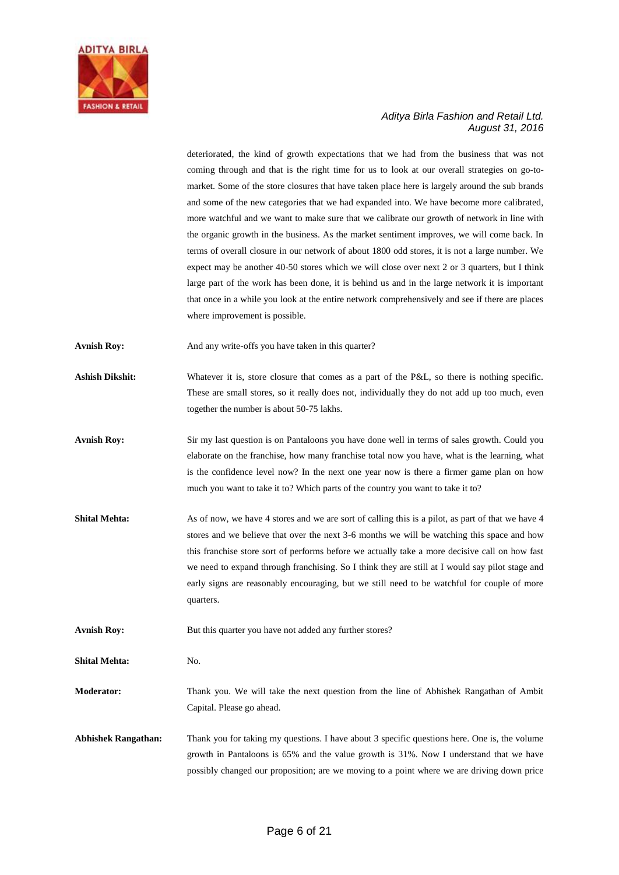

deteriorated, the kind of growth expectations that we had from the business that was not coming through and that is the right time for us to look at our overall strategies on go-tomarket. Some of the store closures that have taken place here is largely around the sub brands and some of the new categories that we had expanded into. We have become more calibrated, more watchful and we want to make sure that we calibrate our growth of network in line with the organic growth in the business. As the market sentiment improves, we will come back. In terms of overall closure in our network of about 1800 odd stores, it is not a large number. We expect may be another 40-50 stores which we will close over next 2 or 3 quarters, but I think large part of the work has been done, it is behind us and in the large network it is important that once in a while you look at the entire network comprehensively and see if there are places where improvement is possible.

**Avnish Roy:** And any write-offs you have taken in this quarter?

Ashish Dikshit: Whatever it is, store closure that comes as a part of the P&L, so there is nothing specific. These are small stores, so it really does not, individually they do not add up too much, even together the number is about 50-75 lakhs.

- Avnish Roy: Sir my last question is on Pantaloons you have done well in terms of sales growth. Could you elaborate on the franchise, how many franchise total now you have, what is the learning, what is the confidence level now? In the next one year now is there a firmer game plan on how much you want to take it to? Which parts of the country you want to take it to?
- **Shital Mehta:** As of now, we have 4 stores and we are sort of calling this is a pilot, as part of that we have 4 stores and we believe that over the next 3-6 months we will be watching this space and how this franchise store sort of performs before we actually take a more decisive call on how fast we need to expand through franchising. So I think they are still at I would say pilot stage and early signs are reasonably encouraging, but we still need to be watchful for couple of more quarters.

Avnish Roy: But this quarter you have not added any further stores?

**Shital Mehta:** No.

**Moderator:** Thank you. We will take the next question from the line of Abhishek Rangathan of Ambit Capital. Please go ahead.

**Abhishek Rangathan:** Thank you for taking my questions. I have about 3 specific questions here. One is, the volume growth in Pantaloons is 65% and the value growth is 31%. Now I understand that we have possibly changed our proposition; are we moving to a point where we are driving down price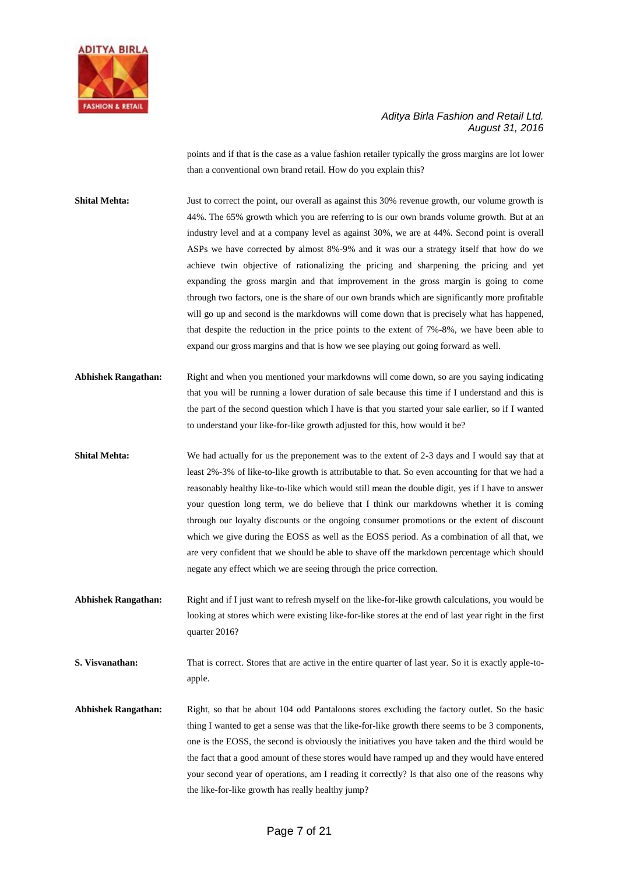

points and if that is the case as a value fashion retailer typically the gross margins are lot lower than a conventional own brand retail. How do you explain this?

- **Shital Mehta:** Just to correct the point, our overall as against this 30% revenue growth, our volume growth is 44%. The 65% growth which you are referring to is our own brands volume growth. But at an industry level and at a company level as against 30%, we are at 44%. Second point is overall ASPs we have corrected by almost 8%-9% and it was our a strategy itself that how do we achieve twin objective of rationalizing the pricing and sharpening the pricing and yet expanding the gross margin and that improvement in the gross margin is going to come through two factors, one is the share of our own brands which are significantly more profitable will go up and second is the markdowns will come down that is precisely what has happened, that despite the reduction in the price points to the extent of 7%-8%, we have been able to expand our gross margins and that is how we see playing out going forward as well.
- **Abhishek Rangathan:** Right and when you mentioned your markdowns will come down, so are you saying indicating that you will be running a lower duration of sale because this time if I understand and this is the part of the second question which I have is that you started your sale earlier, so if I wanted to understand your like-for-like growth adjusted for this, how would it be?
- **Shital Mehta:** We had actually for us the preponement was to the extent of 2-3 days and I would say that at least 2%-3% of like-to-like growth is attributable to that. So even accounting for that we had a reasonably healthy like-to-like which would still mean the double digit, yes if I have to answer your question long term, we do believe that I think our markdowns whether it is coming through our loyalty discounts or the ongoing consumer promotions or the extent of discount which we give during the EOSS as well as the EOSS period. As a combination of all that, we are very confident that we should be able to shave off the markdown percentage which should negate any effect which we are seeing through the price correction.
- **Abhishek Rangathan:** Right and if I just want to refresh myself on the like-for-like growth calculations, you would be looking at stores which were existing like-for-like stores at the end of last year right in the first quarter 2016?

**S. Visvanathan:** That is correct. Stores that are active in the entire quarter of last year. So it is exactly apple-toapple.

**Abhishek Rangathan:** Right, so that be about 104 odd Pantaloons stores excluding the factory outlet. So the basic thing I wanted to get a sense was that the like-for-like growth there seems to be 3 components, one is the EOSS, the second is obviously the initiatives you have taken and the third would be the fact that a good amount of these stores would have ramped up and they would have entered your second year of operations, am I reading it correctly? Is that also one of the reasons why the like-for-like growth has really healthy jump?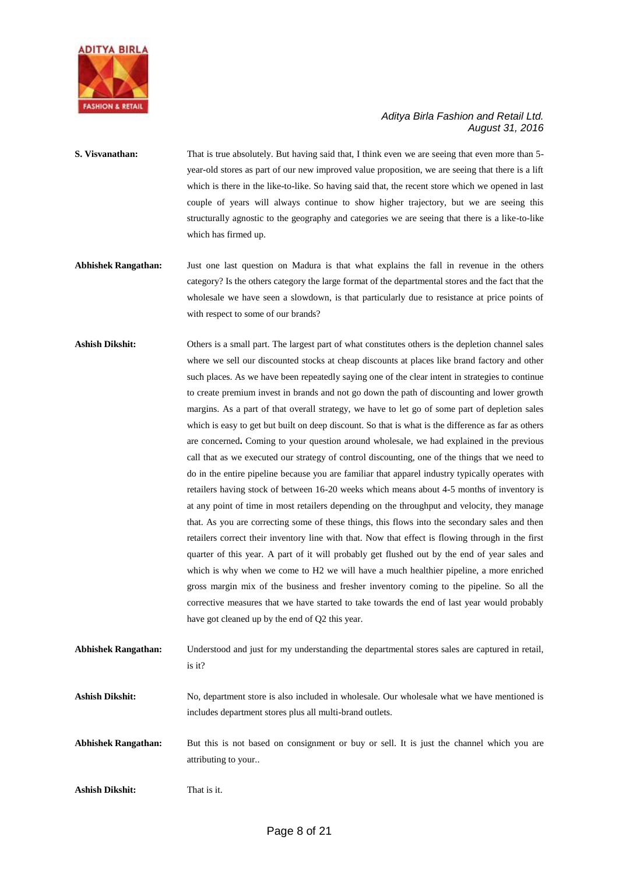

- **S. Visvanathan:** That is true absolutely. But having said that, I think even we are seeing that even more than 5year-old stores as part of our new improved value proposition, we are seeing that there is a lift which is there in the like-to-like. So having said that, the recent store which we opened in last couple of years will always continue to show higher trajectory, but we are seeing this structurally agnostic to the geography and categories we are seeing that there is a like-to-like which has firmed up.
- **Abhishek Rangathan:** Just one last question on Madura is that what explains the fall in revenue in the others category? Is the others category the large format of the departmental stores and the fact that the wholesale we have seen a slowdown, is that particularly due to resistance at price points of with respect to some of our brands?
- **Ashish Dikshit:** Others is a small part. The largest part of what constitutes others is the depletion channel sales where we sell our discounted stocks at cheap discounts at places like brand factory and other such places. As we have been repeatedly saying one of the clear intent in strategies to continue to create premium invest in brands and not go down the path of discounting and lower growth margins. As a part of that overall strategy, we have to let go of some part of depletion sales which is easy to get but built on deep discount. So that is what is the difference as far as others are concerned**.** Coming to your question around wholesale, we had explained in the previous call that as we executed our strategy of control discounting, one of the things that we need to do in the entire pipeline because you are familiar that apparel industry typically operates with retailers having stock of between 16-20 weeks which means about 4-5 months of inventory is at any point of time in most retailers depending on the throughput and velocity, they manage that. As you are correcting some of these things, this flows into the secondary sales and then retailers correct their inventory line with that. Now that effect is flowing through in the first quarter of this year. A part of it will probably get flushed out by the end of year sales and which is why when we come to H2 we will have a much healthier pipeline, a more enriched gross margin mix of the business and fresher inventory coming to the pipeline. So all the corrective measures that we have started to take towards the end of last year would probably have got cleaned up by the end of Q2 this year.
- **Abhishek Rangathan:** Understood and just for my understanding the departmental stores sales are captured in retail, is it?

**Ashish Dikshit:** No, department store is also included in wholesale. Our wholesale what we have mentioned is includes department stores plus all multi-brand outlets.

Abhishek Rangathan: But this is not based on consignment or buy or sell. It is just the channel which you are attributing to your..

**Ashish Dikshit:** That is it.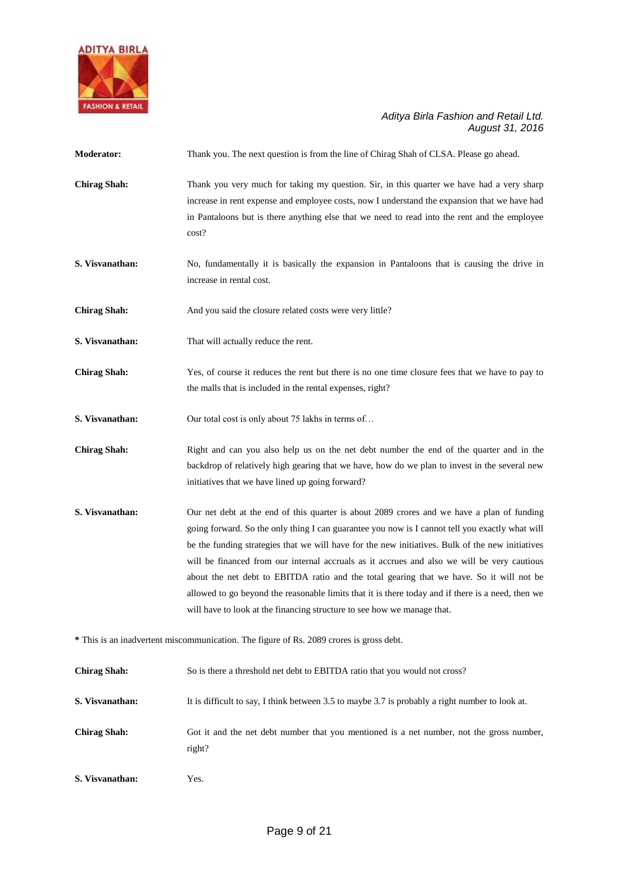

| <b>Moderator:</b>                                                                       | Thank you. The next question is from the line of Chirag Shah of CLSA. Please go ahead.                                                                                                                                                                                                                                                                                                                                                                                                                                                                                                                                                                                       |  |
|-----------------------------------------------------------------------------------------|------------------------------------------------------------------------------------------------------------------------------------------------------------------------------------------------------------------------------------------------------------------------------------------------------------------------------------------------------------------------------------------------------------------------------------------------------------------------------------------------------------------------------------------------------------------------------------------------------------------------------------------------------------------------------|--|
| <b>Chirag Shah:</b>                                                                     | Thank you very much for taking my question. Sir, in this quarter we have had a very sharp<br>increase in rent expense and employee costs, now I understand the expansion that we have had<br>in Pantaloons but is there anything else that we need to read into the rent and the employee<br>cost?                                                                                                                                                                                                                                                                                                                                                                           |  |
| S. Visvanathan:                                                                         | No, fundamentally it is basically the expansion in Pantaloons that is causing the drive in<br>increase in rental cost.                                                                                                                                                                                                                                                                                                                                                                                                                                                                                                                                                       |  |
| <b>Chirag Shah:</b>                                                                     | And you said the closure related costs were very little?                                                                                                                                                                                                                                                                                                                                                                                                                                                                                                                                                                                                                     |  |
| S. Visvanathan:                                                                         | That will actually reduce the rent.                                                                                                                                                                                                                                                                                                                                                                                                                                                                                                                                                                                                                                          |  |
| <b>Chirag Shah:</b>                                                                     | Yes, of course it reduces the rent but there is no one time closure fees that we have to pay to<br>the malls that is included in the rental expenses, right?                                                                                                                                                                                                                                                                                                                                                                                                                                                                                                                 |  |
| S. Visvanathan:                                                                         | Our total cost is only about 75 lakhs in terms of                                                                                                                                                                                                                                                                                                                                                                                                                                                                                                                                                                                                                            |  |
| <b>Chirag Shah:</b>                                                                     | Right and can you also help us on the net debt number the end of the quarter and in the<br>backdrop of relatively high gearing that we have, how do we plan to invest in the several new<br>initiatives that we have lined up going forward?                                                                                                                                                                                                                                                                                                                                                                                                                                 |  |
| S. Visvanathan:                                                                         | Our net debt at the end of this quarter is about 2089 crores and we have a plan of funding<br>going forward. So the only thing I can guarantee you now is I cannot tell you exactly what will<br>be the funding strategies that we will have for the new initiatives. Bulk of the new initiatives<br>will be financed from our internal accruals as it accrues and also we will be very cautious<br>about the net debt to EBITDA ratio and the total gearing that we have. So it will not be<br>allowed to go beyond the reasonable limits that it is there today and if there is a need, then we<br>will have to look at the financing structure to see how we manage that. |  |
| * This is an inadvertent miscommunication. The figure of Rs. 2089 crores is gross debt. |                                                                                                                                                                                                                                                                                                                                                                                                                                                                                                                                                                                                                                                                              |  |
| <b>Chirag Shah:</b>                                                                     | So is there a threshold net debt to EBITDA ratio that you would not cross?                                                                                                                                                                                                                                                                                                                                                                                                                                                                                                                                                                                                   |  |
| S. Visvanathan:                                                                         | It is difficult to say, I think between 3.5 to maybe 3.7 is probably a right number to look at.                                                                                                                                                                                                                                                                                                                                                                                                                                                                                                                                                                              |  |
| <b>Chirag Shah:</b>                                                                     | Got it and the net debt number that you mentioned is a net number, not the gross number,<br>right?                                                                                                                                                                                                                                                                                                                                                                                                                                                                                                                                                                           |  |
| S. Visvanathan:                                                                         | Yes.                                                                                                                                                                                                                                                                                                                                                                                                                                                                                                                                                                                                                                                                         |  |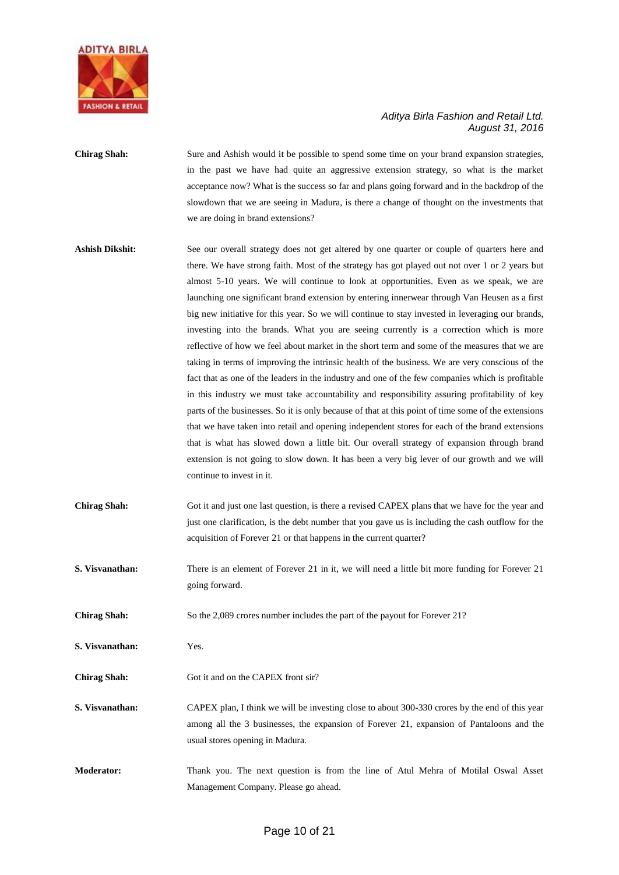

- **Chirag Shah:** Sure and Ashish would it be possible to spend some time on your brand expansion strategies, in the past we have had quite an aggressive extension strategy, so what is the market acceptance now? What is the success so far and plans going forward and in the backdrop of the slowdown that we are seeing in Madura, is there a change of thought on the investments that we are doing in brand extensions?
- **Ashish Dikshit:** See our overall strategy does not get altered by one quarter or couple of quarters here and there. We have strong faith. Most of the strategy has got played out not over 1 or 2 years but almost 5-10 years. We will continue to look at opportunities. Even as we speak, we are launching one significant brand extension by entering innerwear through Van Heusen as a first big new initiative for this year. So we will continue to stay invested in leveraging our brands, investing into the brands. What you are seeing currently is a correction which is more reflective of how we feel about market in the short term and some of the measures that we are taking in terms of improving the intrinsic health of the business. We are very conscious of the fact that as one of the leaders in the industry and one of the few companies which is profitable in this industry we must take accountability and responsibility assuring profitability of key parts of the businesses. So it is only because of that at this point of time some of the extensions that we have taken into retail and opening independent stores for each of the brand extensions that is what has slowed down a little bit. Our overall strategy of expansion through brand extension is not going to slow down. It has been a very big lever of our growth and we will continue to invest in it.
- **Chirag Shah:** Got it and just one last question, is there a revised CAPEX plans that we have for the year and just one clarification, is the debt number that you gave us is including the cash outflow for the acquisition of Forever 21 or that happens in the current quarter?
- **S. Visvanathan:** There is an element of Forever 21 in it, we will need a little bit more funding for Forever 21 going forward.
- **Chirag Shah:** So the 2,089 crores number includes the part of the payout for Forever 21?
- **S. Visvanathan:** Yes.
- Chirag Shah: Got it and on the CAPEX front sir?
- **S. Visvanathan:** CAPEX plan, I think we will be investing close to about 300-330 crores by the end of this year among all the 3 businesses, the expansion of Forever 21, expansion of Pantaloons and the usual stores opening in Madura.
- **Moderator:** Thank you. The next question is from the line of Atul Mehra of Motilal Oswal Asset Management Company. Please go ahead.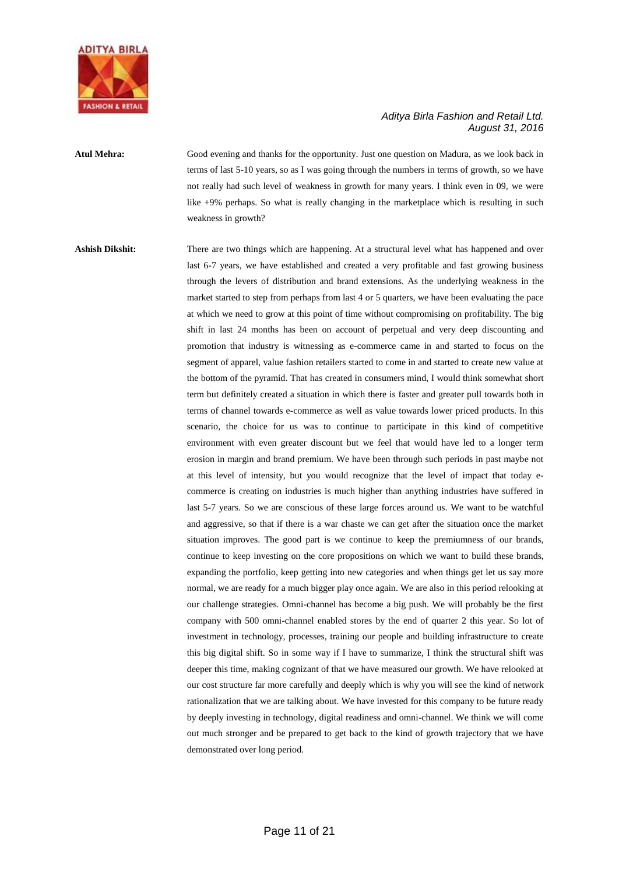

### **Atul Mehra:** Good evening and thanks for the opportunity. Just one question on Madura, as we look back in terms of last 5-10 years, so as I was going through the numbers in terms of growth, so we have not really had such level of weakness in growth for many years. I think even in 09, we were like +9% perhaps. So what is really changing in the marketplace which is resulting in such weakness in growth?

## Ashish Dikshit: There are two things which are happening. At a structural level what has happened and over last 6-7 years, we have established and created a very profitable and fast growing business through the levers of distribution and brand extensions. As the underlying weakness in the market started to step from perhaps from last 4 or 5 quarters, we have been evaluating the pace at which we need to grow at this point of time without compromising on profitability. The big shift in last 24 months has been on account of perpetual and very deep discounting and promotion that industry is witnessing as e-commerce came in and started to focus on the segment of apparel, value fashion retailers started to come in and started to create new value at the bottom of the pyramid. That has created in consumers mind, I would think somewhat short term but definitely created a situation in which there is faster and greater pull towards both in terms of channel towards e-commerce as well as value towards lower priced products. In this scenario, the choice for us was to continue to participate in this kind of competitive environment with even greater discount but we feel that would have led to a longer term erosion in margin and brand premium. We have been through such periods in past maybe not at this level of intensity, but you would recognize that the level of impact that today ecommerce is creating on industries is much higher than anything industries have suffered in last 5-7 years. So we are conscious of these large forces around us. We want to be watchful and aggressive, so that if there is a war chaste we can get after the situation once the market situation improves. The good part is we continue to keep the premiumness of our brands, continue to keep investing on the core propositions on which we want to build these brands, expanding the portfolio, keep getting into new categories and when things get let us say more normal, we are ready for a much bigger play once again. We are also in this period relooking at our challenge strategies. Omni-channel has become a big push. We will probably be the first company with 500 omni-channel enabled stores by the end of quarter 2 this year. So lot of investment in technology, processes, training our people and building infrastructure to create this big digital shift. So in some way if I have to summarize, I think the structural shift was deeper this time, making cognizant of that we have measured our growth. We have relooked at our cost structure far more carefully and deeply which is why you will see the kind of network rationalization that we are talking about. We have invested for this company to be future ready by deeply investing in technology, digital readiness and omni-channel. We think we will come out much stronger and be prepared to get back to the kind of growth trajectory that we have demonstrated over long period.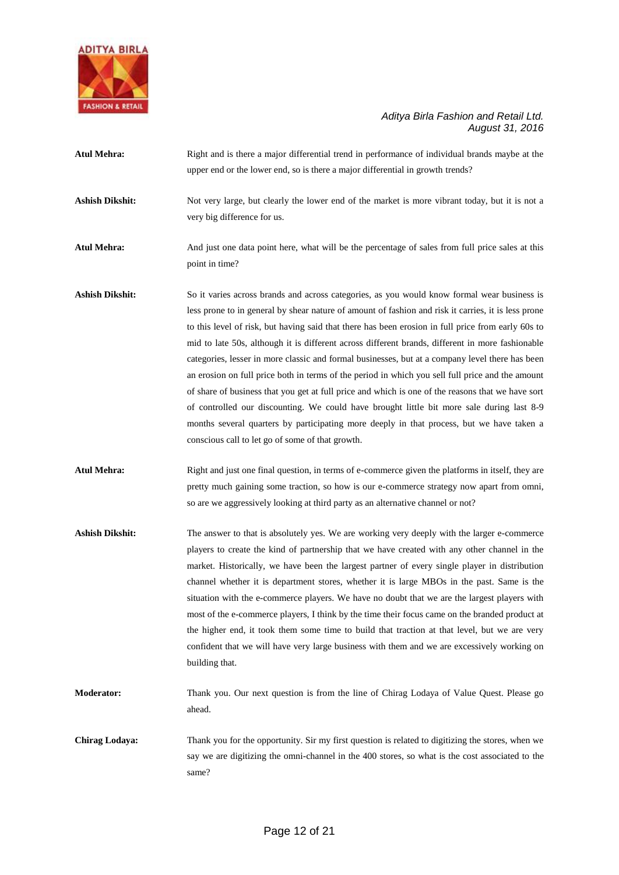

| <b>Atul Mehra:</b>     | Right and is there a major differential trend in performance of individual brands maybe at the<br>upper end or the lower end, so is there a major differential in growth trends?                                                                                                                                                                                                                                                                                                                                                                                                                                                                                                                                                                                                                                                                                                                                                                                       |
|------------------------|------------------------------------------------------------------------------------------------------------------------------------------------------------------------------------------------------------------------------------------------------------------------------------------------------------------------------------------------------------------------------------------------------------------------------------------------------------------------------------------------------------------------------------------------------------------------------------------------------------------------------------------------------------------------------------------------------------------------------------------------------------------------------------------------------------------------------------------------------------------------------------------------------------------------------------------------------------------------|
| <b>Ashish Dikshit:</b> | Not very large, but clearly the lower end of the market is more vibrant today, but it is not a<br>very big difference for us.                                                                                                                                                                                                                                                                                                                                                                                                                                                                                                                                                                                                                                                                                                                                                                                                                                          |
| <b>Atul Mehra:</b>     | And just one data point here, what will be the percentage of sales from full price sales at this<br>point in time?                                                                                                                                                                                                                                                                                                                                                                                                                                                                                                                                                                                                                                                                                                                                                                                                                                                     |
| <b>Ashish Dikshit:</b> | So it varies across brands and across categories, as you would know formal wear business is<br>less prone to in general by shear nature of amount of fashion and risk it carries, it is less prone<br>to this level of risk, but having said that there has been erosion in full price from early 60s to<br>mid to late 50s, although it is different across different brands, different in more fashionable<br>categories, lesser in more classic and formal businesses, but at a company level there has been<br>an erosion on full price both in terms of the period in which you sell full price and the amount<br>of share of business that you get at full price and which is one of the reasons that we have sort<br>of controlled our discounting. We could have brought little bit more sale during last 8-9<br>months several quarters by participating more deeply in that process, but we have taken a<br>conscious call to let go of some of that growth. |
| <b>Atul Mehra:</b>     | Right and just one final question, in terms of e-commerce given the platforms in itself, they are<br>pretty much gaining some traction, so how is our e-commerce strategy now apart from omni,<br>so are we aggressively looking at third party as an alternative channel or not?                                                                                                                                                                                                                                                                                                                                                                                                                                                                                                                                                                                                                                                                                      |
| <b>Ashish Dikshit:</b> | The answer to that is absolutely yes. We are working very deeply with the larger e-commerce<br>players to create the kind of partnership that we have created with any other channel in the<br>market. Historically, we have been the largest partner of every single player in distribution<br>channel whether it is department stores, whether it is large MBOs in the past. Same is the<br>situation with the e-commerce players. We have no doubt that we are the largest players with<br>most of the e-commerce players, I think by the time their focus came on the branded product at<br>the higher end, it took them some time to build that traction at that level, but we are very<br>confident that we will have very large business with them and we are excessively working on<br>building that.                                                                                                                                                          |
| <b>Moderator:</b>      | Thank you. Our next question is from the line of Chirag Lodaya of Value Quest. Please go<br>ahead.                                                                                                                                                                                                                                                                                                                                                                                                                                                                                                                                                                                                                                                                                                                                                                                                                                                                     |
| <b>Chirag Lodaya:</b>  | Thank you for the opportunity. Sir my first question is related to digitizing the stores, when we<br>say we are digitizing the omni-channel in the 400 stores, so what is the cost associated to the                                                                                                                                                                                                                                                                                                                                                                                                                                                                                                                                                                                                                                                                                                                                                                   |

same?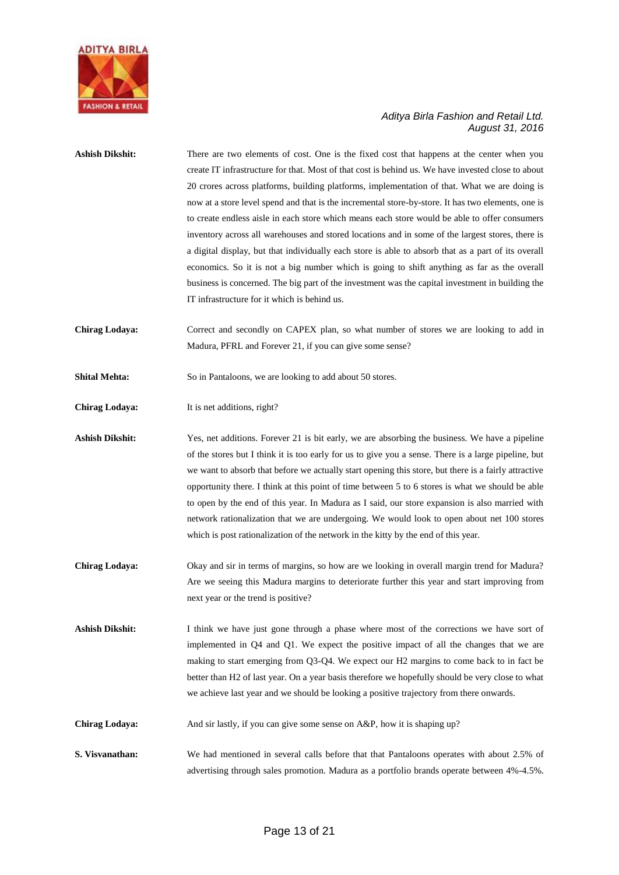

| <b>Ashish Dikshit:</b> | There are two elements of cost. One is the fixed cost that happens at the center when you<br>create IT infrastructure for that. Most of that cost is behind us. We have invested close to about |
|------------------------|-------------------------------------------------------------------------------------------------------------------------------------------------------------------------------------------------|
|                        | 20 crores across platforms, building platforms, implementation of that. What we are doing is                                                                                                    |
|                        | now at a store level spend and that is the incremental store-by-store. It has two elements, one is                                                                                              |
|                        | to create endless aisle in each store which means each store would be able to offer consumers                                                                                                   |
|                        | inventory across all warehouses and stored locations and in some of the largest stores, there is                                                                                                |
|                        | a digital display, but that individually each store is able to absorb that as a part of its overall                                                                                             |
|                        | economics. So it is not a big number which is going to shift anything as far as the overall                                                                                                     |
|                        | business is concerned. The big part of the investment was the capital investment in building the                                                                                                |
|                        | IT infrastructure for it which is behind us.                                                                                                                                                    |
| <b>Chirag Lodaya:</b>  | Correct and secondly on CAPEX plan, so what number of stores we are looking to add in                                                                                                           |
|                        | Madura, PFRL and Forever 21, if you can give some sense?                                                                                                                                        |
| <b>Shital Mehta:</b>   | So in Pantaloons, we are looking to add about 50 stores.                                                                                                                                        |
| <b>Chirag Lodaya:</b>  | It is net additions, right?                                                                                                                                                                     |
| <b>Ashish Dikshit:</b> | Yes, net additions. Forever 21 is bit early, we are absorbing the business. We have a pipeline                                                                                                  |
|                        | of the stores but I think it is too early for us to give you a sense. There is a large pipeline, but                                                                                            |
|                        | we want to absorb that before we actually start opening this store, but there is a fairly attractive                                                                                            |
|                        | opportunity there. I think at this point of time between 5 to 6 stores is what we should be able                                                                                                |
|                        | to open by the end of this year. In Madura as I said, our store expansion is also married with                                                                                                  |
|                        | network rationalization that we are undergoing. We would look to open about net 100 stores                                                                                                      |
|                        | which is post rationalization of the network in the kitty by the end of this year.                                                                                                              |
| <b>Chirag Lodaya:</b>  | Okay and sir in terms of margins, so how are we looking in overall margin trend for Madura?                                                                                                     |
|                        | Are we seeing this Madura margins to deteriorate further this year and start improving from                                                                                                     |
|                        | next year or the trend is positive?                                                                                                                                                             |
| <b>Ashish Dikshit:</b> | I think we have just gone through a phase where most of the corrections we have sort of                                                                                                         |
|                        | implemented in Q4 and Q1. We expect the positive impact of all the changes that we are                                                                                                          |
|                        | making to start emerging from Q3-Q4. We expect our H2 margins to come back to in fact be                                                                                                        |
|                        | better than H2 of last year. On a year basis therefore we hopefully should be very close to what                                                                                                |
|                        | we achieve last year and we should be looking a positive trajectory from there onwards.                                                                                                         |
| <b>Chirag Lodaya:</b>  | And sir lastly, if you can give some sense on A&P, how it is shaping up?                                                                                                                        |
| S. Visvanathan:        | We had mentioned in several calls before that that Pantaloons operates with about 2.5% of                                                                                                       |
|                        | advertising through sales promotion. Madura as a portfolio brands operate between 4%-4.5%.                                                                                                      |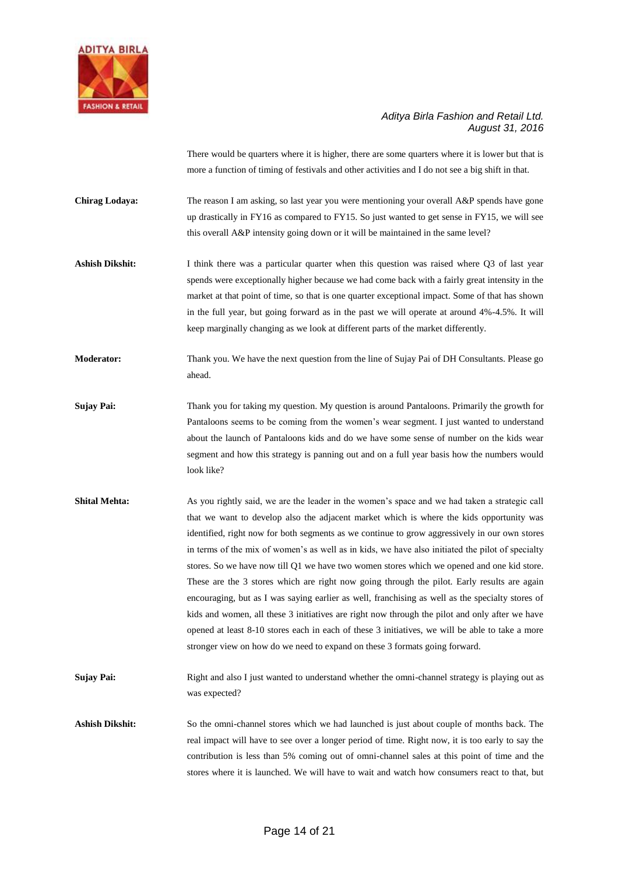

There would be quarters where it is higher, there are some quarters where it is lower but that is more a function of timing of festivals and other activities and I do not see a big shift in that.

**Chirag Lodaya:** The reason I am asking, so last year you were mentioning your overall A&P spends have gone up drastically in FY16 as compared to FY15. So just wanted to get sense in FY15, we will see this overall A&P intensity going down or it will be maintained in the same level?

Ashish Dikshit: I think there was a particular quarter when this question was raised where Q3 of last year spends were exceptionally higher because we had come back with a fairly great intensity in the market at that point of time, so that is one quarter exceptional impact. Some of that has shown in the full year, but going forward as in the past we will operate at around 4%-4.5%. It will keep marginally changing as we look at different parts of the market differently.

**Moderator:** Thank you. We have the next question from the line of Sujay Pai of DH Consultants. Please go ahead.

- **Sujay Pai:** Thank you for taking my question. My question is around Pantaloons. Primarily the growth for Pantaloons seems to be coming from the women's wear segment. I just wanted to understand about the launch of Pantaloons kids and do we have some sense of number on the kids wear segment and how this strategy is panning out and on a full year basis how the numbers would look like?
- **Shital Mehta:** As you rightly said, we are the leader in the women's space and we had taken a strategic call that we want to develop also the adjacent market which is where the kids opportunity was identified, right now for both segments as we continue to grow aggressively in our own stores in terms of the mix of women's as well as in kids, we have also initiated the pilot of specialty stores. So we have now till Q1 we have two women stores which we opened and one kid store. These are the 3 stores which are right now going through the pilot. Early results are again encouraging, but as I was saying earlier as well, franchising as well as the specialty stores of kids and women, all these 3 initiatives are right now through the pilot and only after we have opened at least 8-10 stores each in each of these 3 initiatives, we will be able to take a more stronger view on how do we need to expand on these 3 formats going forward.

**Sujay Pai:** Right and also I just wanted to understand whether the omni-channel strategy is playing out as was expected?

**Ashish Dikshit:** So the omni-channel stores which we had launched is just about couple of months back. The real impact will have to see over a longer period of time. Right now, it is too early to say the contribution is less than 5% coming out of omni-channel sales at this point of time and the stores where it is launched. We will have to wait and watch how consumers react to that, but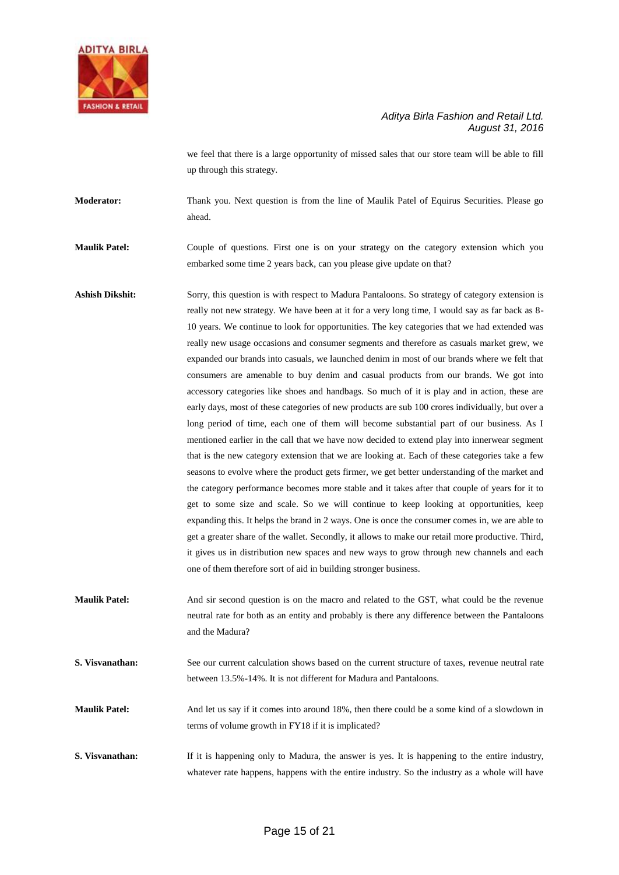

we feel that there is a large opportunity of missed sales that our store team will be able to fill up through this strategy.

**Moderator:** Thank you. Next question is from the line of Maulik Patel of Equirus Securities. Please go ahead.

**Maulik Patel:** Couple of questions. First one is on your strategy on the category extension which you embarked some time 2 years back, can you please give update on that?

- **Ashish Dikshit:** Sorry, this question is with respect to Madura Pantaloons. So strategy of category extension is really not new strategy. We have been at it for a very long time, I would say as far back as 8- 10 years. We continue to look for opportunities. The key categories that we had extended was really new usage occasions and consumer segments and therefore as casuals market grew, we expanded our brands into casuals, we launched denim in most of our brands where we felt that consumers are amenable to buy denim and casual products from our brands. We got into accessory categories like shoes and handbags. So much of it is play and in action, these are early days, most of these categories of new products are sub 100 crores individually, but over a long period of time, each one of them will become substantial part of our business. As I mentioned earlier in the call that we have now decided to extend play into innerwear segment that is the new category extension that we are looking at. Each of these categories take a few seasons to evolve where the product gets firmer, we get better understanding of the market and the category performance becomes more stable and it takes after that couple of years for it to get to some size and scale. So we will continue to keep looking at opportunities, keep expanding this. It helps the brand in 2 ways. One is once the consumer comes in, we are able to get a greater share of the wallet. Secondly, it allows to make our retail more productive. Third, it gives us in distribution new spaces and new ways to grow through new channels and each one of them therefore sort of aid in building stronger business.
- **Maulik Patel:** And sir second question is on the macro and related to the GST, what could be the revenue neutral rate for both as an entity and probably is there any difference between the Pantaloons and the Madura?
- **S. Visvanathan:** See our current calculation shows based on the current structure of taxes, revenue neutral rate between 13.5%-14%. It is not different for Madura and Pantaloons.

**Maulik Patel:** And let us say if it comes into around 18%, then there could be a some kind of a slowdown in terms of volume growth in FY18 if it is implicated?

**S. Visvanathan:** If it is happening only to Madura, the answer is yes. It is happening to the entire industry, whatever rate happens, happens with the entire industry. So the industry as a whole will have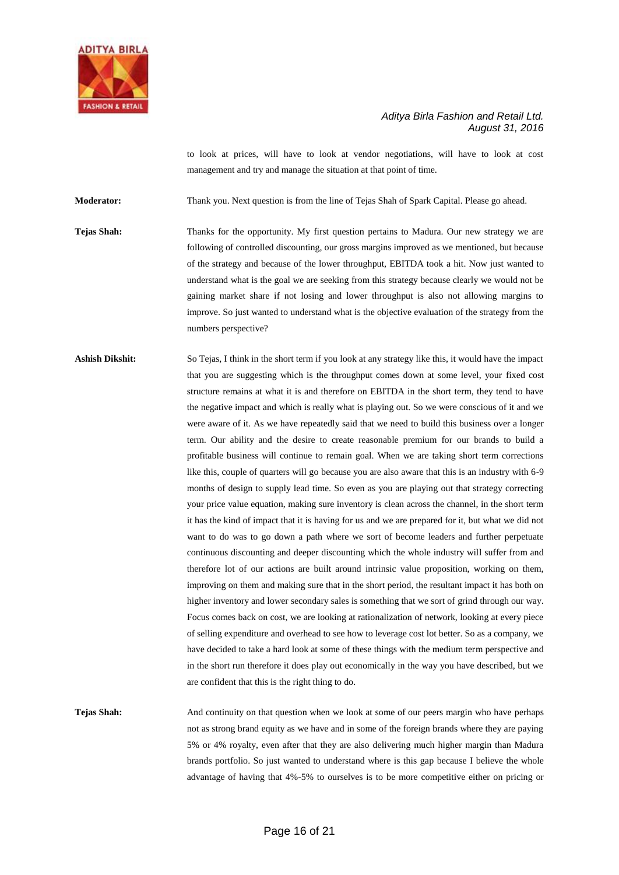

to look at prices, will have to look at vendor negotiations, will have to look at cost management and try and manage the situation at that point of time.

**Moderator:** Thank you. Next question is from the line of Tejas Shah of Spark Capital. Please go ahead.

**Tejas Shah:** Thanks for the opportunity. My first question pertains to Madura. Our new strategy we are following of controlled discounting, our gross margins improved as we mentioned, but because of the strategy and because of the lower throughput, EBITDA took a hit. Now just wanted to understand what is the goal we are seeking from this strategy because clearly we would not be gaining market share if not losing and lower throughput is also not allowing margins to improve. So just wanted to understand what is the objective evaluation of the strategy from the numbers perspective?

**Ashish Dikshit:** So Tejas, I think in the short term if you look at any strategy like this, it would have the impact that you are suggesting which is the throughput comes down at some level, your fixed cost structure remains at what it is and therefore on EBITDA in the short term, they tend to have the negative impact and which is really what is playing out. So we were conscious of it and we were aware of it. As we have repeatedly said that we need to build this business over a longer term. Our ability and the desire to create reasonable premium for our brands to build a profitable business will continue to remain goal. When we are taking short term corrections like this, couple of quarters will go because you are also aware that this is an industry with 6-9 months of design to supply lead time. So even as you are playing out that strategy correcting your price value equation, making sure inventory is clean across the channel, in the short term it has the kind of impact that it is having for us and we are prepared for it, but what we did not want to do was to go down a path where we sort of become leaders and further perpetuate continuous discounting and deeper discounting which the whole industry will suffer from and therefore lot of our actions are built around intrinsic value proposition, working on them, improving on them and making sure that in the short period, the resultant impact it has both on higher inventory and lower secondary sales is something that we sort of grind through our way. Focus comes back on cost, we are looking at rationalization of network, looking at every piece of selling expenditure and overhead to see how to leverage cost lot better. So as a company, we have decided to take a hard look at some of these things with the medium term perspective and in the short run therefore it does play out economically in the way you have described, but we are confident that this is the right thing to do.

**Tejas Shah:** And continuity on that question when we look at some of our peers margin who have perhaps not as strong brand equity as we have and in some of the foreign brands where they are paying 5% or 4% royalty, even after that they are also delivering much higher margin than Madura brands portfolio. So just wanted to understand where is this gap because I believe the whole advantage of having that 4%-5% to ourselves is to be more competitive either on pricing or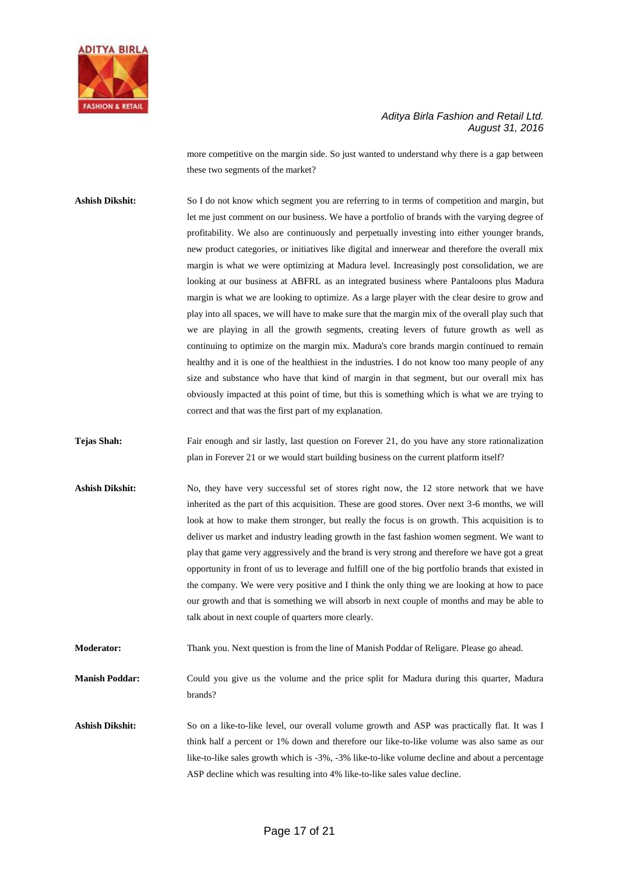

more competitive on the margin side. So just wanted to understand why there is a gap between these two segments of the market?

Ashish Dikshit: So I do not know which segment you are referring to in terms of competition and margin, but let me just comment on our business. We have a portfolio of brands with the varying degree of profitability. We also are continuously and perpetually investing into either younger brands, new product categories, or initiatives like digital and innerwear and therefore the overall mix margin is what we were optimizing at Madura level. Increasingly post consolidation, we are looking at our business at ABFRL as an integrated business where Pantaloons plus Madura margin is what we are looking to optimize. As a large player with the clear desire to grow and play into all spaces, we will have to make sure that the margin mix of the overall play such that we are playing in all the growth segments, creating levers of future growth as well as continuing to optimize on the margin mix. Madura's core brands margin continued to remain healthy and it is one of the healthiest in the industries. I do not know too many people of any size and substance who have that kind of margin in that segment, but our overall mix has obviously impacted at this point of time, but this is something which is what we are trying to correct and that was the first part of my explanation.

**Tejas Shah:** Fair enough and sir lastly, last question on Forever 21, do you have any store rationalization plan in Forever 21 or we would start building business on the current platform itself?

Ashish Dikshit: No, they have very successful set of stores right now, the 12 store network that we have inherited as the part of this acquisition. These are good stores. Over next 3-6 months, we will look at how to make them stronger, but really the focus is on growth. This acquisition is to deliver us market and industry leading growth in the fast fashion women segment. We want to play that game very aggressively and the brand is very strong and therefore we have got a great opportunity in front of us to leverage and fulfill one of the big portfolio brands that existed in the company. We were very positive and I think the only thing we are looking at how to pace our growth and that is something we will absorb in next couple of months and may be able to talk about in next couple of quarters more clearly.

**Moderator:** Thank you. Next question is from the line of Manish Poddar of Religare. Please go ahead.

**Manish Poddar:** Could you give us the volume and the price split for Madura during this quarter, Madura brands?

**Ashish Dikshit:** So on a like-to-like level, our overall volume growth and ASP was practically flat. It was I think half a percent or 1% down and therefore our like-to-like volume was also same as our like-to-like sales growth which is -3%, -3% like-to-like volume decline and about a percentage ASP decline which was resulting into 4% like-to-like sales value decline.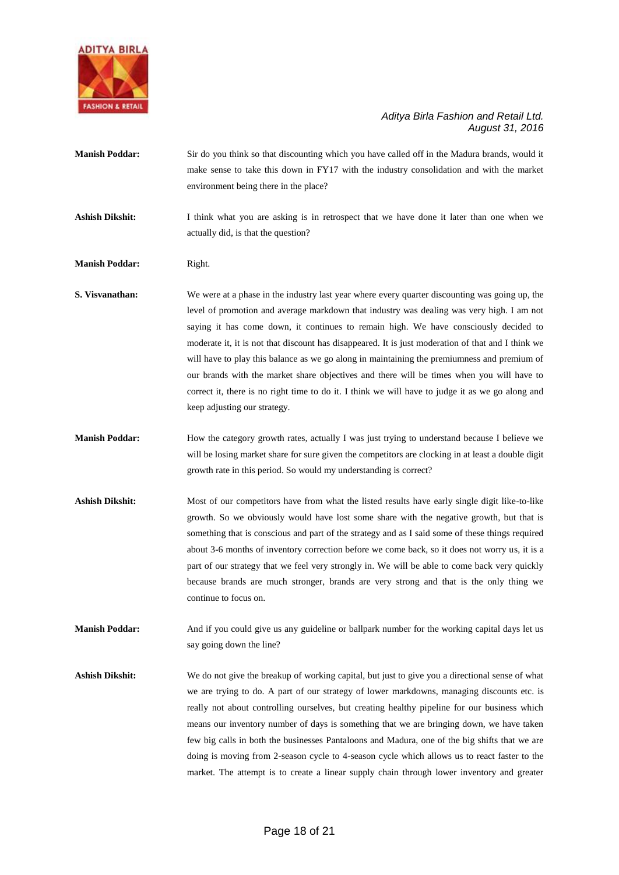

**Manish Poddar:** Sir do you think so that discounting which you have called off in the Madura brands, would it make sense to take this down in FY17 with the industry consolidation and with the market environment being there in the place?

Ashish Dikshit: I think what you are asking is in retrospect that we have done it later than one when we actually did, is that the question?

- **Manish Poddar:** Right.
- **S. Visvanathan:** We were at a phase in the industry last year where every quarter discounting was going up, the level of promotion and average markdown that industry was dealing was very high. I am not saying it has come down, it continues to remain high. We have consciously decided to moderate it, it is not that discount has disappeared. It is just moderation of that and I think we will have to play this balance as we go along in maintaining the premiumness and premium of our brands with the market share objectives and there will be times when you will have to correct it, there is no right time to do it. I think we will have to judge it as we go along and keep adjusting our strategy.
- **Manish Poddar:** How the category growth rates, actually I was just trying to understand because I believe we will be losing market share for sure given the competitors are clocking in at least a double digit growth rate in this period. So would my understanding is correct?
- Ashish Dikshit: Most of our competitors have from what the listed results have early single digit like-to-like growth. So we obviously would have lost some share with the negative growth, but that is something that is conscious and part of the strategy and as I said some of these things required about 3-6 months of inventory correction before we come back, so it does not worry us, it is a part of our strategy that we feel very strongly in. We will be able to come back very quickly because brands are much stronger, brands are very strong and that is the only thing we continue to focus on.

**Manish Poddar:** And if you could give us any guideline or ballpark number for the working capital days let us say going down the line?

**Ashish Dikshit:** We do not give the breakup of working capital, but just to give you a directional sense of what we are trying to do. A part of our strategy of lower markdowns, managing discounts etc. is really not about controlling ourselves, but creating healthy pipeline for our business which means our inventory number of days is something that we are bringing down, we have taken few big calls in both the businesses Pantaloons and Madura, one of the big shifts that we are doing is moving from 2-season cycle to 4-season cycle which allows us to react faster to the market. The attempt is to create a linear supply chain through lower inventory and greater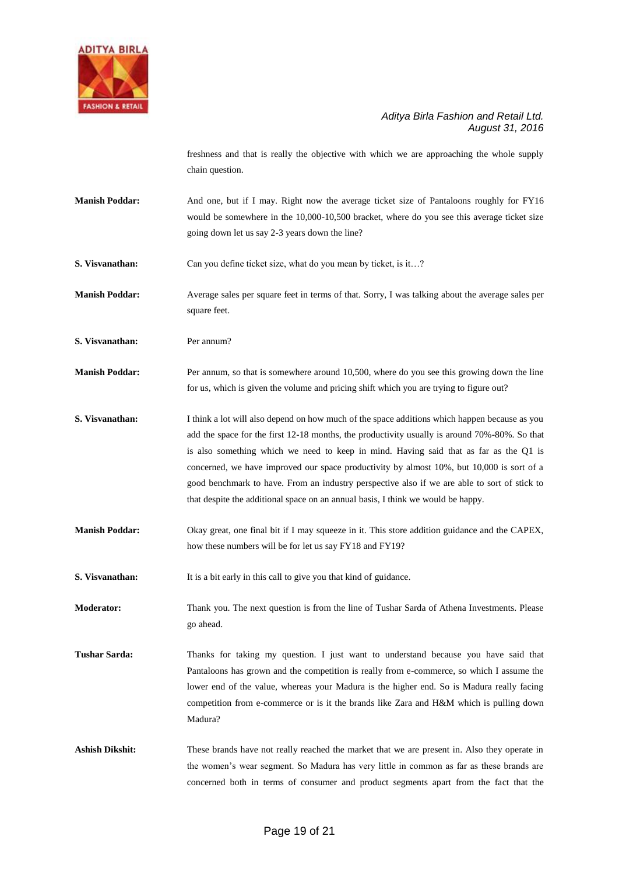

freshness and that is really the objective with which we are approaching the whole supply chain question.

- **Manish Poddar:** And one, but if I may. Right now the average ticket size of Pantaloons roughly for FY16 would be somewhere in the 10,000-10,500 bracket, where do you see this average ticket size going down let us say 2-3 years down the line?
- **S. Visvanathan:** Can you define ticket size, what do you mean by ticket, is it...?
- **Manish Poddar:** Average sales per square feet in terms of that. Sorry, I was talking about the average sales per square feet.
- **S. Visvanathan:** Per annum?
- **Manish Poddar:** Per annum, so that is somewhere around 10,500, where do you see this growing down the line for us, which is given the volume and pricing shift which you are trying to figure out?
- **S. Visvanathan:** I think a lot will also depend on how much of the space additions which happen because as you add the space for the first 12-18 months, the productivity usually is around 70%-80%. So that is also something which we need to keep in mind. Having said that as far as the Q1 is concerned, we have improved our space productivity by almost 10%, but 10,000 is sort of a good benchmark to have. From an industry perspective also if we are able to sort of stick to that despite the additional space on an annual basis, I think we would be happy.
- **Manish Poddar:** Okay great, one final bit if I may squeeze in it. This store addition guidance and the CAPEX, how these numbers will be for let us say FY18 and FY19?

**S. Visvanathan:** It is a bit early in this call to give you that kind of guidance.

**Moderator:** Thank you. The next question is from the line of Tushar Sarda of Athena Investments. Please go ahead.

- **Tushar Sarda:** Thanks for taking my question. I just want to understand because you have said that Pantaloons has grown and the competition is really from e-commerce, so which I assume the lower end of the value, whereas your Madura is the higher end. So is Madura really facing competition from e-commerce or is it the brands like Zara and H&M which is pulling down Madura?
- **Ashish Dikshit:** These brands have not really reached the market that we are present in. Also they operate in the women's wear segment. So Madura has very little in common as far as these brands are concerned both in terms of consumer and product segments apart from the fact that the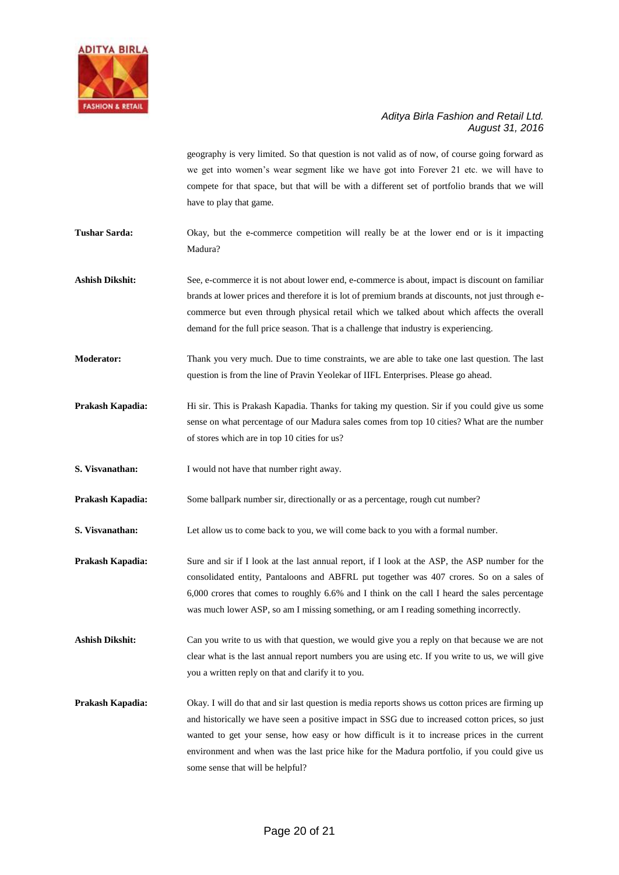

geography is very limited. So that question is not valid as of now, of course going forward as we get into women's wear segment like we have got into Forever 21 etc. we will have to compete for that space, but that will be with a different set of portfolio brands that we will have to play that game.

**Tushar Sarda:** Okay, but the e-commerce competition will really be at the lower end or is it impacting Madura?

**Ashish Dikshit:** See, e-commerce it is not about lower end, e-commerce is about, impact is discount on familiar brands at lower prices and therefore it is lot of premium brands at discounts, not just through ecommerce but even through physical retail which we talked about which affects the overall demand for the full price season. That is a challenge that industry is experiencing.

**Moderator:** Thank you very much. Due to time constraints, we are able to take one last question. The last question is from the line of Pravin Yeolekar of IIFL Enterprises. Please go ahead.

**Prakash Kapadia:** Hi sir. This is Prakash Kapadia. Thanks for taking my question. Sir if you could give us some sense on what percentage of our Madura sales comes from top 10 cities? What are the number of stores which are in top 10 cities for us?

**S. Visvanathan:** I would not have that number right away.

**Prakash Kapadia:** Some ballpark number sir, directionally or as a percentage, rough cut number?

**S. Visvanathan:** Let allow us to come back to you, we will come back to you with a formal number.

**Prakash Kapadia:** Sure and sir if I look at the last annual report, if I look at the ASP, the ASP number for the consolidated entity, Pantaloons and ABFRL put together was 407 crores. So on a sales of 6,000 crores that comes to roughly 6.6% and I think on the call I heard the sales percentage was much lower ASP, so am I missing something, or am I reading something incorrectly.

**Ashish Dikshit:** Can you write to us with that question, we would give you a reply on that because we are not clear what is the last annual report numbers you are using etc. If you write to us, we will give you a written reply on that and clarify it to you.

**Prakash Kapadia:** Okay. I will do that and sir last question is media reports shows us cotton prices are firming up and historically we have seen a positive impact in SSG due to increased cotton prices, so just wanted to get your sense, how easy or how difficult is it to increase prices in the current environment and when was the last price hike for the Madura portfolio, if you could give us some sense that will be helpful?